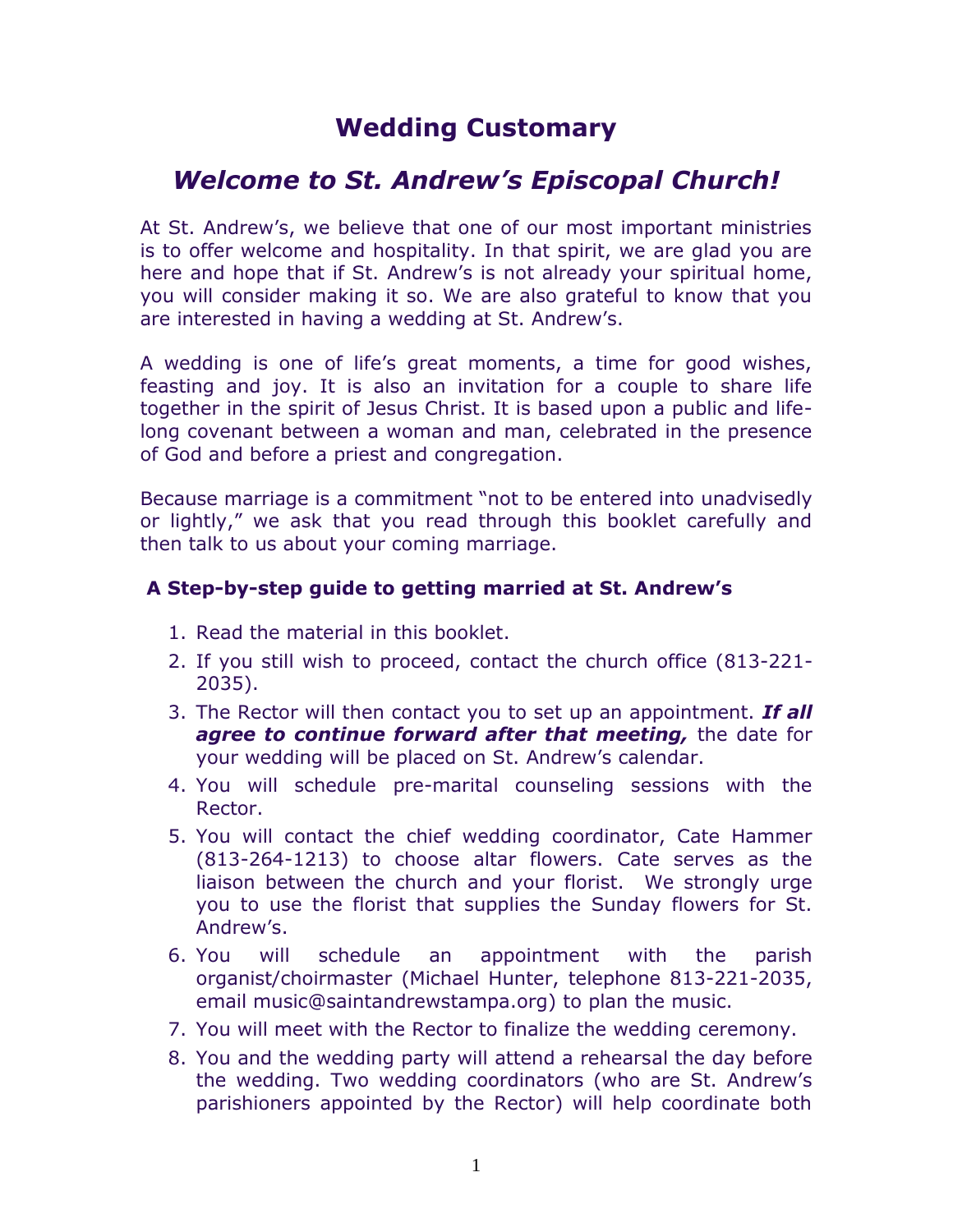# **Wedding Customary**

# *Welcome to St. Andrew's Episcopal Church!*

At St. Andrew's, we believe that one of our most important ministries is to offer welcome and hospitality. In that spirit, we are glad you are here and hope that if St. Andrew's is not already your spiritual home, you will consider making it so. We are also grateful to know that you are interested in having a wedding at St. Andrew's.

A wedding is one of life's great moments, a time for good wishes, feasting and joy. It is also an invitation for a couple to share life together in the spirit of Jesus Christ. It is based upon a public and lifelong covenant between a woman and man, celebrated in the presence of God and before a priest and congregation.

Because marriage is a commitment "not to be entered into unadvisedly or lightly," we ask that you read through this booklet carefully and then talk to us about your coming marriage.

# **A Step-by-step guide to getting married at St. Andrew's**

- 1. Read the material in this booklet.
- 2. If you still wish to proceed, contact the church office (813-221- 2035).
- 3. The Rector will then contact you to set up an appointment. *If all agree to continue forward after that meeting,* the date for your wedding will be placed on St. Andrew's calendar.
- 4. You will schedule pre-marital counseling sessions with the Rector.
- 5. You will contact the chief wedding coordinator, Cate Hammer (813-264-1213) to choose altar flowers. Cate serves as the liaison between the church and your florist. We strongly urge you to use the florist that supplies the Sunday flowers for St. Andrew's.
- 6. You will schedule an appointment with the parish organist/choirmaster (Michael Hunter, telephone 813-221-2035, email music@saintandrewstampa.org) to plan the music.
- 7. You will meet with the Rector to finalize the wedding ceremony.
- 8. You and the wedding party will attend a rehearsal the day before the wedding. Two wedding coordinators (who are St. Andrew's parishioners appointed by the Rector) will help coordinate both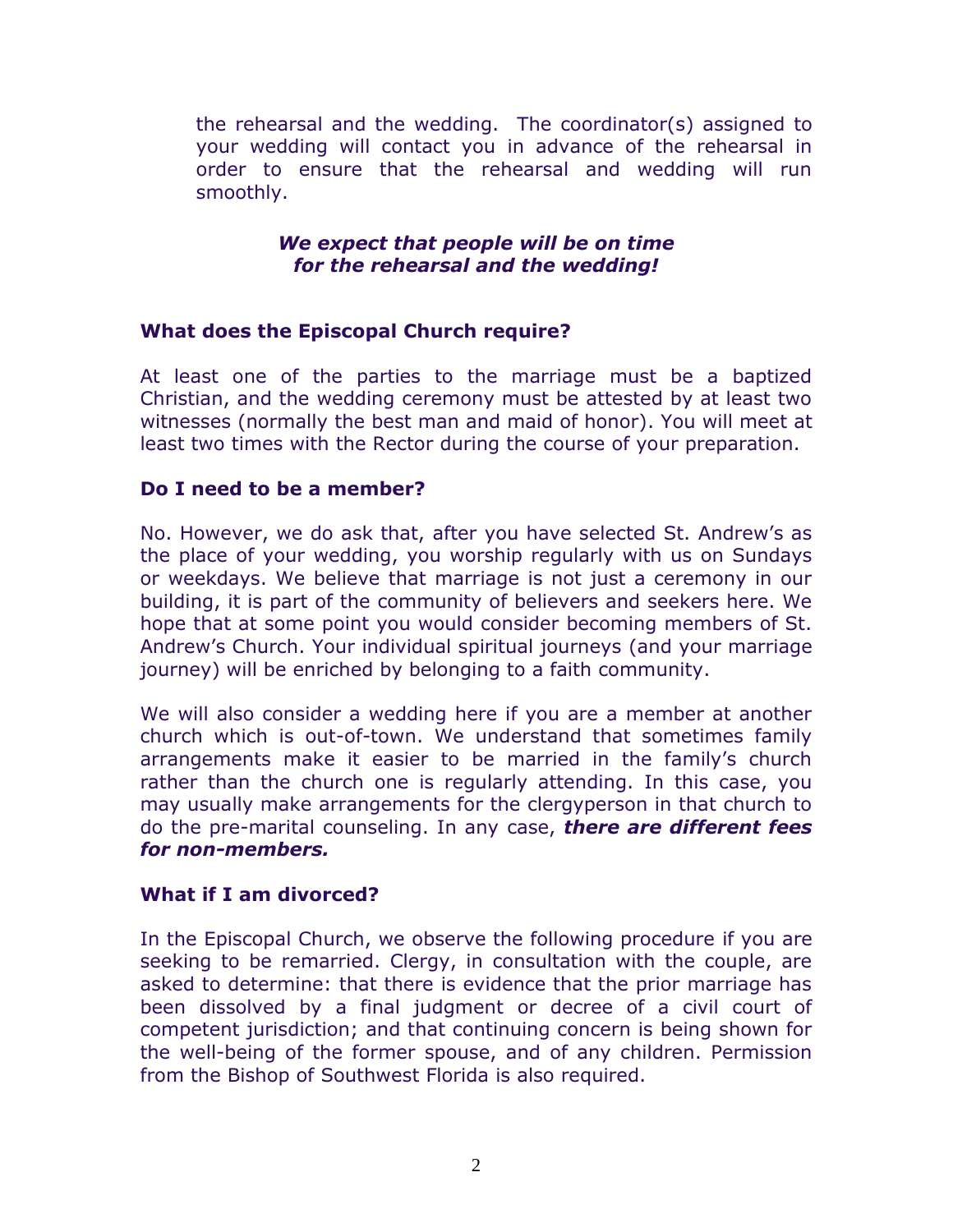the rehearsal and the wedding. The coordinator(s) assigned to your wedding will contact you in advance of the rehearsal in order to ensure that the rehearsal and wedding will run smoothly.

#### *We expect that people will be on time for the rehearsal and the wedding!*

# **What does the Episcopal Church require?**

At least one of the parties to the marriage must be a baptized Christian, and the wedding ceremony must be attested by at least two witnesses (normally the best man and maid of honor). You will meet at least two times with the Rector during the course of your preparation.

### **Do I need to be a member?**

No. However, we do ask that, after you have selected St. Andrew's as the place of your wedding, you worship regularly with us on Sundays or weekdays. We believe that marriage is not just a ceremony in our building, it is part of the community of believers and seekers here. We hope that at some point you would consider becoming members of St. Andrew's Church. Your individual spiritual journeys (and your marriage journey) will be enriched by belonging to a faith community.

We will also consider a wedding here if you are a member at another church which is out-of-town. We understand that sometimes family arrangements make it easier to be married in the family's church rather than the church one is regularly attending. In this case, you may usually make arrangements for the clergyperson in that church to do the pre-marital counseling. In any case, *there are different fees for non-members.*

### **What if I am divorced?**

In the Episcopal Church, we observe the following procedure if you are seeking to be remarried. Clergy, in consultation with the couple, are asked to determine: that there is evidence that the prior marriage has been dissolved by a final judgment or decree of a civil court of competent jurisdiction; and that continuing concern is being shown for the well-being of the former spouse, and of any children. Permission from the Bishop of Southwest Florida is also required.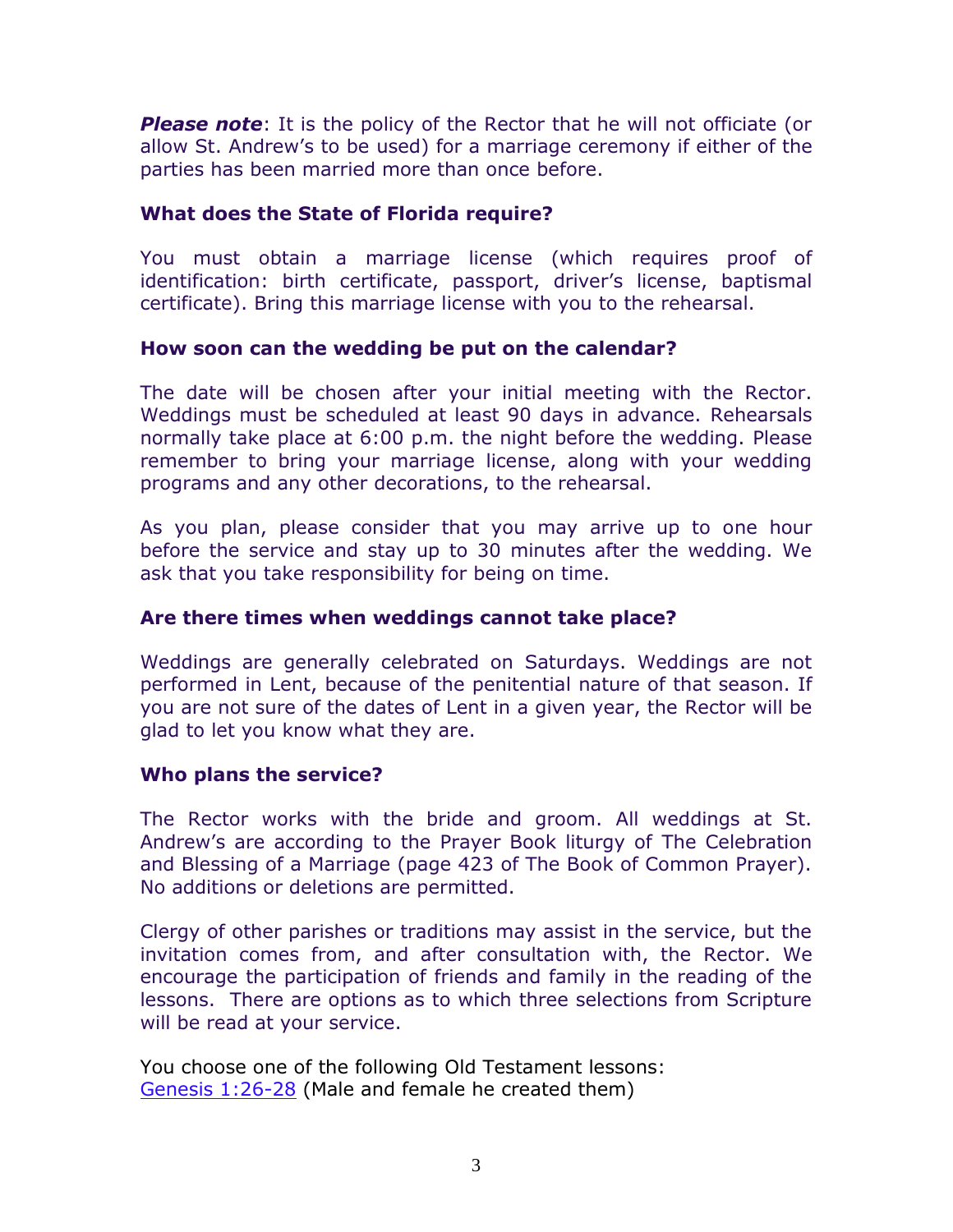*Please note*: It is the policy of the Rector that he will not officiate (or allow St. Andrew's to be used) for a marriage ceremony if either of the parties has been married more than once before.

## **What does the State of Florida require?**

You must obtain a marriage license (which requires proof of identification: birth certificate, passport, driver's license, baptismal certificate). Bring this marriage license with you to the rehearsal.

### **How soon can the wedding be put on the calendar?**

The date will be chosen after your initial meeting with the Rector. Weddings must be scheduled at least 90 days in advance. Rehearsals normally take place at 6:00 p.m. the night before the wedding. Please remember to bring your marriage license, along with your wedding programs and any other decorations, to the rehearsal.

As you plan, please consider that you may arrive up to one hour before the service and stay up to 30 minutes after the wedding. We ask that you take responsibility for being on time.

# **Are there times when weddings cannot take place?**

Weddings are generally celebrated on Saturdays. Weddings are not performed in Lent, because of the penitential nature of that season. If you are not sure of the dates of Lent in a given year, the Rector will be glad to let you know what they are.

### **Who plans the service?**

The Rector works with the bride and groom. All weddings at St. Andrew's are according to the Prayer Book liturgy of The Celebration and Blessing of a Marriage (page 423 of The Book of Common Prayer). No additions or deletions are permitted.

Clergy of other parishes or traditions may assist in the service, but the invitation comes from, and after consultation with, the Rector. We encourage the participation of friends and family in the reading of the lessons. There are options as to which three selections from Scripture will be read at your service.

You choose one of the following Old Testament lessons: [Genesis 1:26-28](http://www.oremus.org/bible/browser.cgi?vnum=no&passage=Genesis+1:26-28) (Male and female he created them)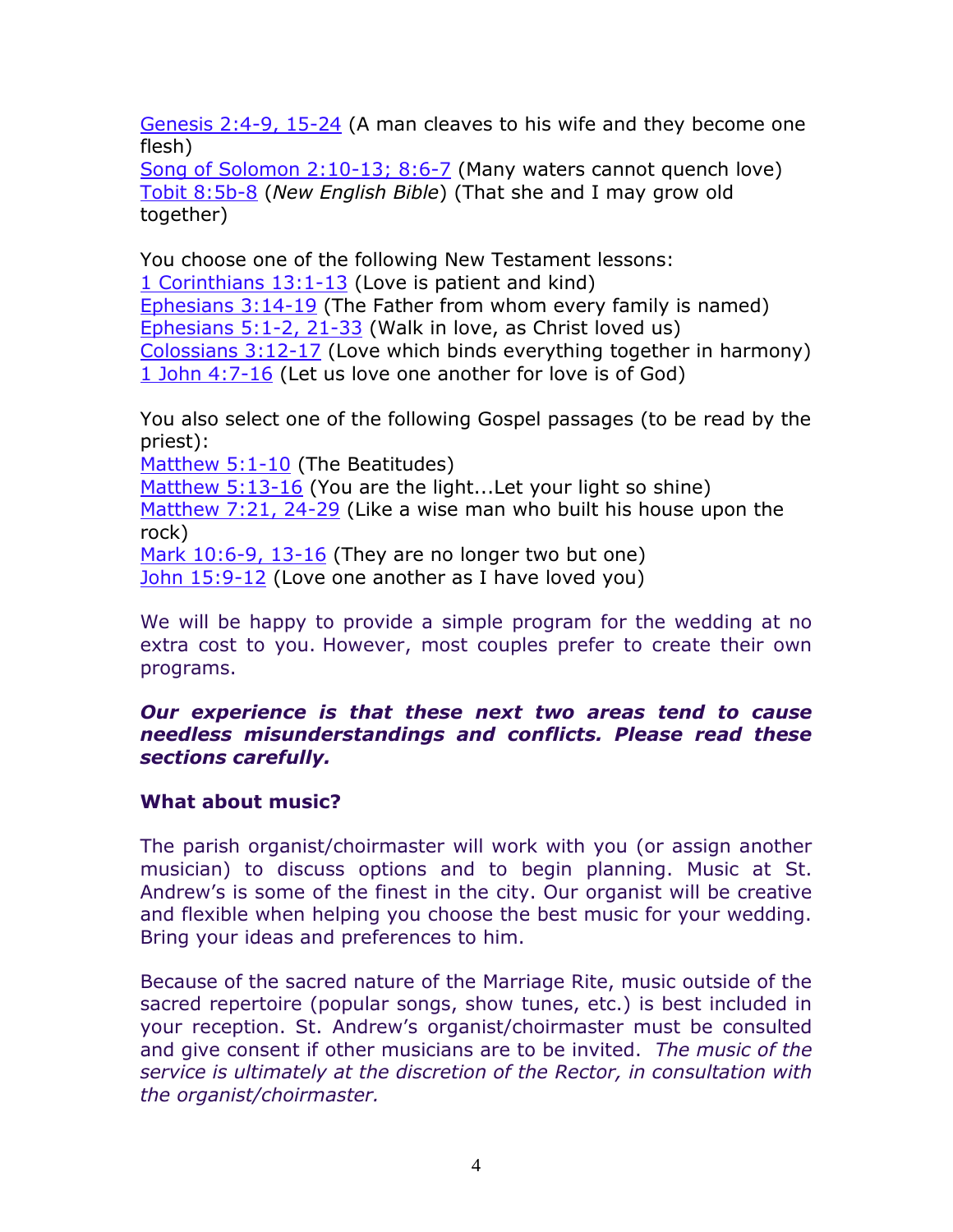[Genesis 2:4-9, 15-24](http://www.oremus.org/bible/browser.cgi?vnum=no&passage=Genesis+2:4-9,15-24) (A man cleaves to his wife and they become one flesh)

[Song of Solomon 2:10-13; 8:6-7](http://www.oremus.org/bible/browser.cgi?vnum=yes&passage=Song+2:10-13;8:6-7) (Many waters cannot quench love) [Tobit 8:5b-8](http://justus.anglican.org/resources/bcp/Tobit.htm) (*New English Bible*) (That she and I may grow old together)

You choose one of the following New Testament lessons:

[1 Corinthians 13:1-13](http://www.oremus.org/bible/browser.cgi?vnum=yes&passage=1+Corinthians+13:1-13) (Love is patient and kind)

[Ephesians 3:14-19](http://www.oremus.org/bible/browser.cgi?vnum=yes&passage=Ephesians+3:14-19) (The Father from whom every family is named) [Ephesians 5:1-2, 21-33](http://www.oremus.org/bible/browser.cgi?vnum=yes&passage=Ephesians+5:1-2,21-33) (Walk in love, as Christ loved us) [Colossians 3:12-17](http://www.oremus.org/bible/browser.cgi?vnum=yes&passage=Colossians+3:12-17) (Love which binds everything together in harmony)

[1 John 4:7-16](http://www.oremus.org/bible/browser.cgi?vnum=yes&passage=1+John+4:7-16) (Let us love one another for love is of God)

You also select one of the following Gospel passages (to be read by the priest):

[Matthew 5:1-10](http://www.oremus.org/bible/browser.cgi?vnum=yes&passage=Matthew+5:1-10) (The Beatitudes)

[Matthew 5:13-16](http://www.oremus.org/bible/browser.cgi?vnum=yes&passage=Matthew+5:13-16) (You are the light...Let your light so shine) [Matthew 7:21, 24-29](http://www.oremus.org/bible/browser.cgi?vnum=yes&passage=Matthew+7:21,24-29) (Like a wise man who built his house upon the rock) [Mark 10:6-9, 13-16](http://www.oremus.org/bible/browser.cgi?vnum=yes&passage=Mark+10:6-9,13-16) (They are no longer two but one)

[John 15:9-12](http://www.oremus.org/bible/browser.cgi?vnum=yes&passage=John+15:9-12) (Love one another as I have loved you)

We will be happy to provide a simple program for the wedding at no extra cost to you. However, most couples prefer to create their own programs.

# *Our experience is that these next two areas tend to cause needless misunderstandings and conflicts. Please read these sections carefully.*

# **What about music?**

The parish organist/choirmaster will work with you (or assign another musician) to discuss options and to begin planning. Music at St. Andrew's is some of the finest in the city. Our organist will be creative and flexible when helping you choose the best music for your wedding. Bring your ideas and preferences to him.

Because of the sacred nature of the Marriage Rite, music outside of the sacred repertoire (popular songs, show tunes, etc.) is best included in your reception. St. Andrew's organist/choirmaster must be consulted and give consent if other musicians are to be invited. *The music of the service is ultimately at the discretion of the Rector, in consultation with the organist/choirmaster.*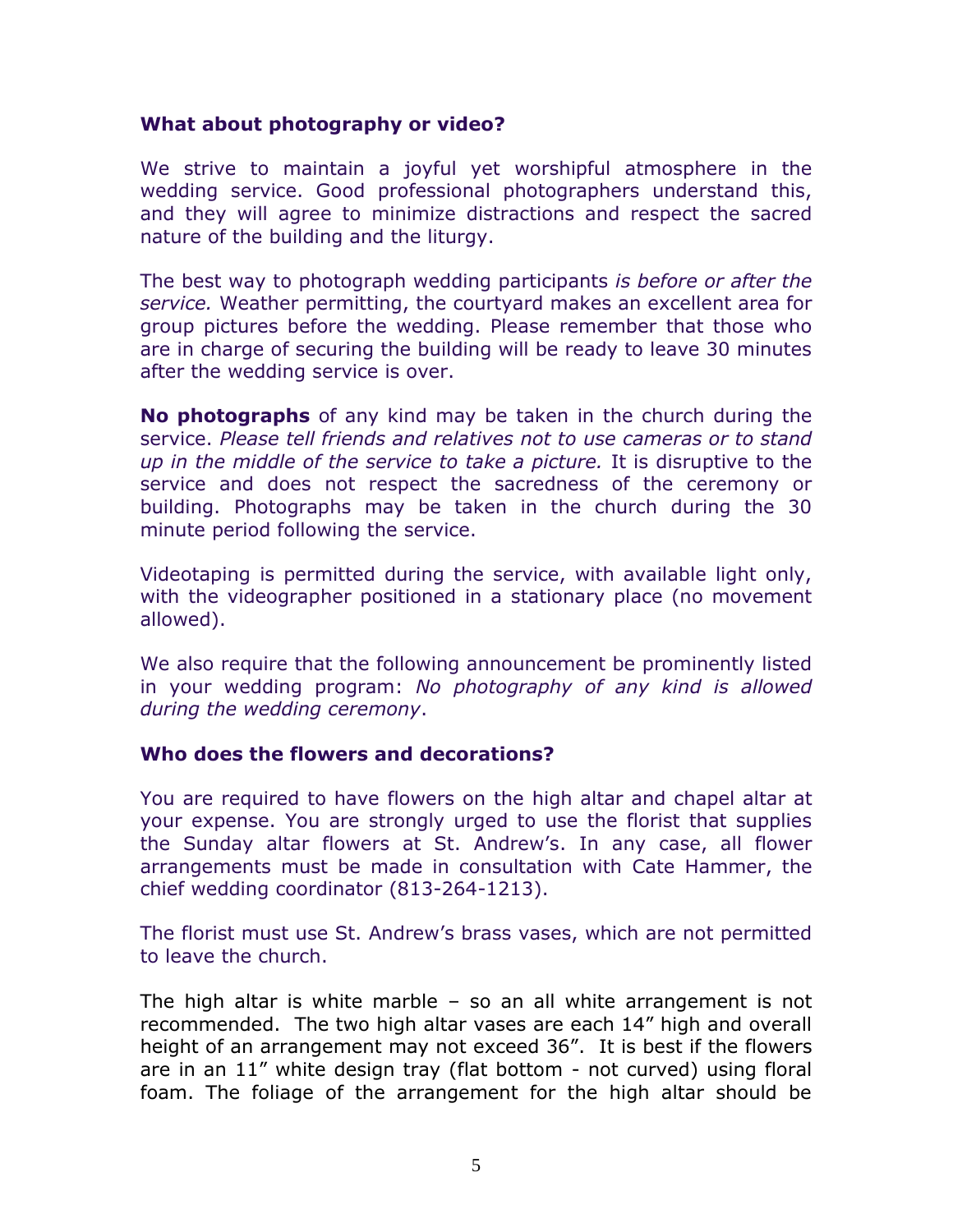#### **What about photography or video?**

We strive to maintain a joyful yet worshipful atmosphere in the wedding service. Good professional photographers understand this, and they will agree to minimize distractions and respect the sacred nature of the building and the liturgy.

The best way to photograph wedding participants *is before or after the service.* Weather permitting, the courtyard makes an excellent area for group pictures before the wedding. Please remember that those who are in charge of securing the building will be ready to leave 30 minutes after the wedding service is over.

**No photographs** of any kind may be taken in the church during the service. *Please tell friends and relatives not to use cameras or to stand up in the middle of the service to take a picture.* It is disruptive to the service and does not respect the sacredness of the ceremony or building. Photographs may be taken in the church during the 30 minute period following the service.

Videotaping is permitted during the service, with available light only, with the videographer positioned in a stationary place (no movement allowed).

We also require that the following announcement be prominently listed in your wedding program: *No photography of any kind is allowed during the wedding ceremony*.

### **Who does the flowers and decorations?**

You are required to have flowers on the high altar and chapel altar at your expense. You are strongly urged to use the florist that supplies the Sunday altar flowers at St. Andrew's. In any case, all flower arrangements must be made in consultation with Cate Hammer, the chief wedding coordinator (813-264-1213).

The florist must use St. Andrew's brass vases, which are not permitted to leave the church.

The high altar is white marble – so an all white arrangement is not recommended. The two high altar vases are each 14" high and overall height of an arrangement may not exceed 36". It is best if the flowers are in an 11" white design tray (flat bottom - not curved) using floral foam. The foliage of the arrangement for the high altar should be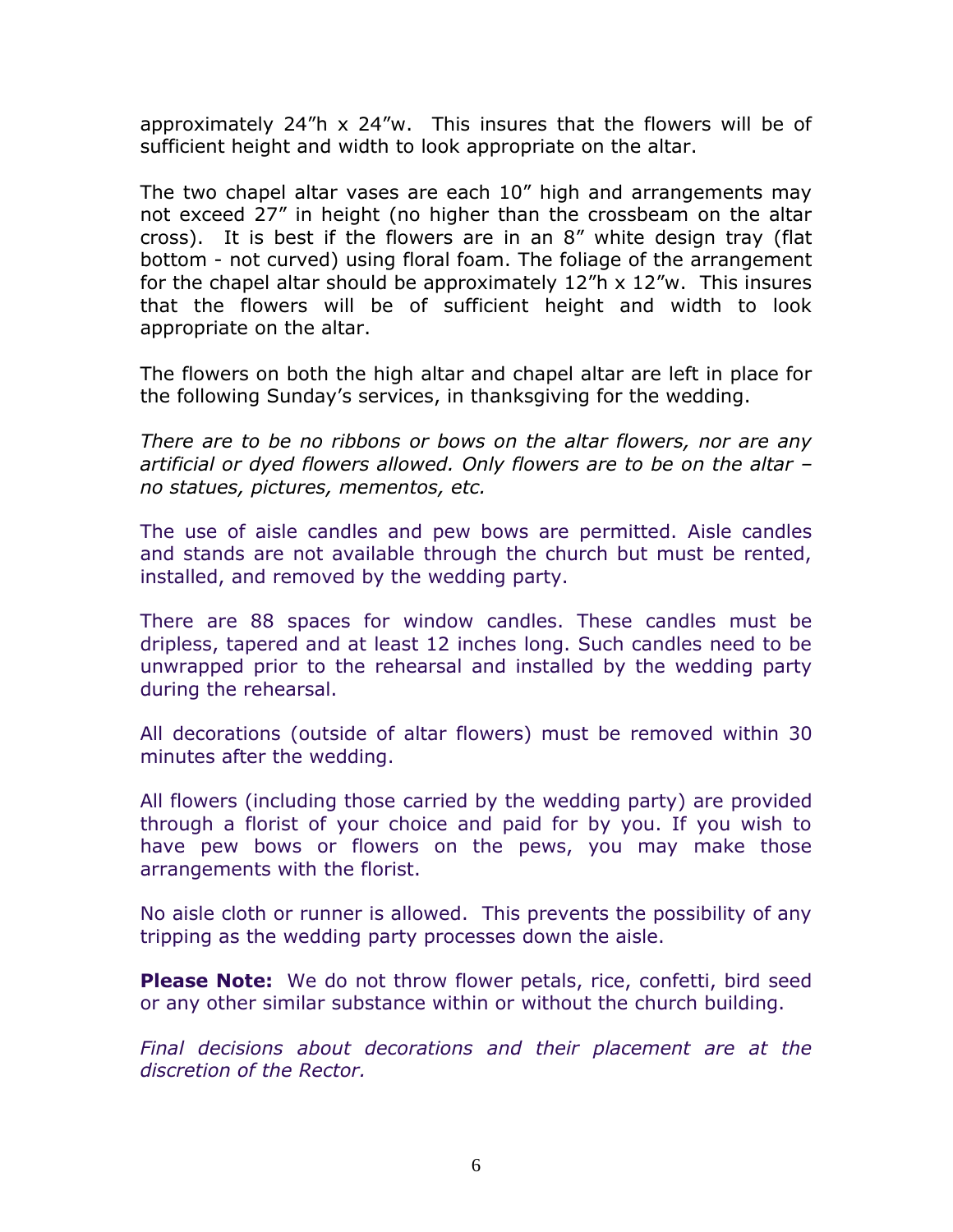approximately  $24$ "h  $\times$   $24$ "w. This insures that the flowers will be of sufficient height and width to look appropriate on the altar.

The two chapel altar vases are each 10" high and arrangements may not exceed 27" in height (no higher than the crossbeam on the altar cross). It is best if the flowers are in an 8" white design tray (flat bottom - not curved) using floral foam. The foliage of the arrangement for the chapel altar should be approximately  $12<sup>m</sup>$  x  $12<sup>m</sup>$ w. This insures that the flowers will be of sufficient height and width to look appropriate on the altar.

The flowers on both the high altar and chapel altar are left in place for the following Sunday's services, in thanksgiving for the wedding.

*There are to be no ribbons or bows on the altar flowers, nor are any artificial or dyed flowers allowed. Only flowers are to be on the altar – no statues, pictures, mementos, etc.* 

The use of aisle candles and pew bows are permitted. Aisle candles and stands are not available through the church but must be rented, installed, and removed by the wedding party.

There are 88 spaces for window candles. These candles must be dripless, tapered and at least 12 inches long. Such candles need to be unwrapped prior to the rehearsal and installed by the wedding party during the rehearsal.

All decorations (outside of altar flowers) must be removed within 30 minutes after the wedding.

All flowers (including those carried by the wedding party) are provided through a florist of your choice and paid for by you. If you wish to have pew bows or flowers on the pews, you may make those arrangements with the florist.

No aisle cloth or runner is allowed. This prevents the possibility of any tripping as the wedding party processes down the aisle.

**Please Note:** We do not throw flower petals, rice, confetti, bird seed or any other similar substance within or without the church building.

*Final decisions about decorations and their placement are at the discretion of the Rector.*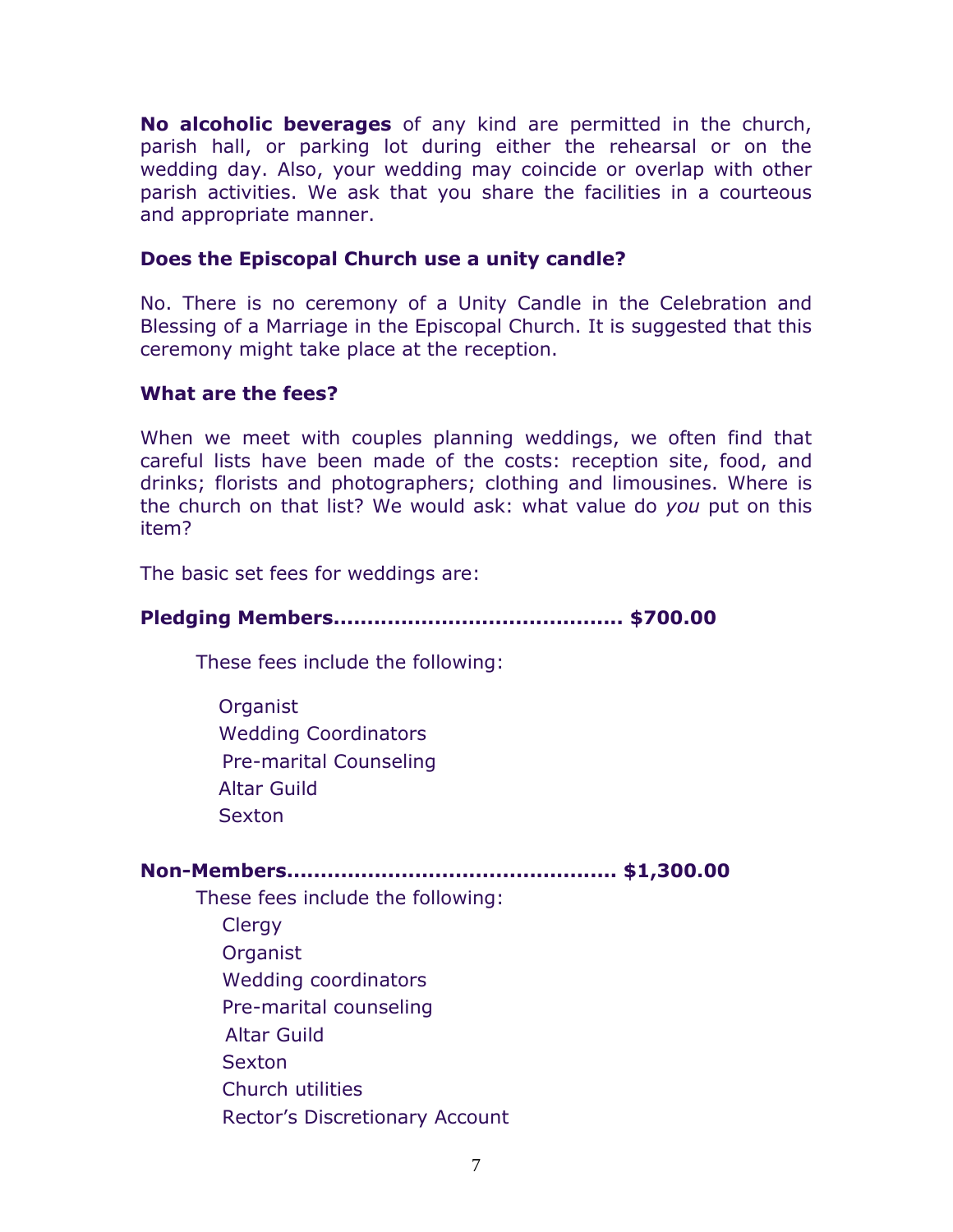**No alcoholic beverages** of any kind are permitted in the church, parish hall, or parking lot during either the rehearsal or on the wedding day. Also, your wedding may coincide or overlap with other parish activities. We ask that you share the facilities in a courteous and appropriate manner.

#### **Does the Episcopal Church use a unity candle?**

No. There is no ceremony of a Unity Candle in the Celebration and Blessing of a Marriage in the Episcopal Church. It is suggested that this ceremony might take place at the reception.

#### **What are the fees?**

When we meet with couples planning weddings, we often find that careful lists have been made of the costs: reception site, food, and drinks; florists and photographers; clothing and limousines. Where is the church on that list? We would ask: what value do *you* put on this item?

The basic set fees for weddings are:

# **Pledging Members........................................... \$700.00** These fees include the following: **Organist**  Wedding Coordinators Pre-marital Counseling

Altar Guild

Sexton

# **Non-Members................................................. \$1,300.00**

These fees include the following:

**Clergy** 

Organist

Wedding coordinators

Pre-marital counseling

Altar Guild

Sexton

Church utilities

Rector's Discretionary Account